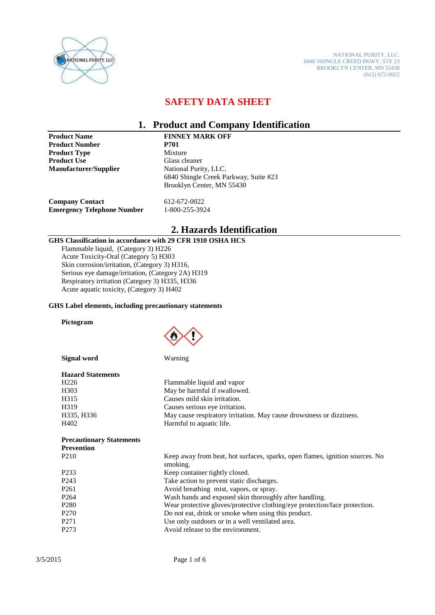

NATIONAL PURITY, LLC. 6840 SHINGLE CREED PKWY, STE 23 BROOKLYN CENTER, MN 55430 (612) 672-0022

### **SAFETY DATA SHEET**

### **1. Product and Company Identification**

**Product Name FINNEY MARK OFF**<br>**Product Number P701 Product Number 19701**<br>Product Type 19701 Mixture **Product Type Product Use 6 Glass cleaner Manufacturer/Supplier** National Purity, LLC.

6840 Shingle Creek Parkway, Suite #23 Brooklyn Center, MN 55430

**Company Contact** 612-672-0022<br> **Emergency Telephone Number** 1-800-255-3924 **Emergency Telephone Number** 

# **2. Hazards Identification**

#### **GHS Classification in accordance with 29 CFR 1910 OSHA HCS**

Flammable liquid, (Category 3) H226 Acute Toxicity-Oral (Category 5) H303 Skin corrosion/irritation, (Category 3) H316, Serious eye damage/irritation, (Category 2A) H319 Respiratory irritation (Category 3) H335, H336 Acute aquatic toxicity, (Category 3) H402

#### **GHS Label elements, including precautionary statements**

#### **Pictogram**



 **Signal word** Warning

| <b>Hazard Statements</b> |                                                                      |
|--------------------------|----------------------------------------------------------------------|
| H <sub>226</sub>         | Flammable liquid and vapor                                           |
| H <sub>3</sub> 03        | May be harmful if swallowed.                                         |
| H <sub>3</sub> 15        | Causes mild skin irritation.                                         |
| H <sub>3</sub> 19        | Causes serious eye irritation.                                       |
| H335, H336               | May cause respiratory irritation. May cause drowsiness or dizziness. |
| H402                     | Harmful to aquatic life.                                             |

# **Prevention**

| P <sub>210</sub>  | Keep away from heat, hot surfaces, sparks, open flames, ignition sources. No<br>smoking. |
|-------------------|------------------------------------------------------------------------------------------|
| P <sub>2</sub> 33 | Keep container tightly closed.                                                           |
| P <sub>243</sub>  | Take action to prevent static discharges.                                                |
| P <sub>261</sub>  | Avoid breathing mist, vapors, or spray.                                                  |
| P <sub>264</sub>  | Wash hands and exposed skin thoroughly after handling.                                   |
| P <sub>280</sub>  | Wear protective gloves/protective clothing/eye protection/face protection.               |
| P <sub>270</sub>  | Do not eat, drink or smoke when using this product.                                      |
| P <sub>271</sub>  | Use only outdoors or in a well ventilated area.                                          |
| P <sub>273</sub>  | Avoid release to the environment.                                                        |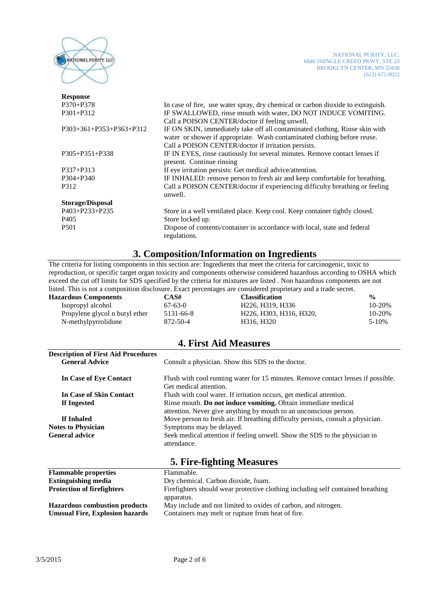

| <b>Response</b>           |                                                                                 |  |
|---------------------------|---------------------------------------------------------------------------------|--|
| $P370 + P378$             | In case of fire, use water spray, dry chemical or carbon dioxide to extinguish. |  |
| $P301 + P312$             | IF SWALLOWED, rinse mouth with water, DO NOT INDUCE VOMITING.                   |  |
|                           | Call a POISON CENTER/doctor if feeling unwell.                                  |  |
| $P303+361+P353+P363+P312$ | IF ON SKIN, immediately take off all contaminated clothing. Rinse skin with     |  |
|                           | water or shower if appropriate. Wash contaminated clothing before reuse.        |  |
|                           | Call a POISON CENTER/doctor if irritation persists.                             |  |
| $P305 + P351 + P338$      | IF IN EYES, rinse cautiously for several minutes. Remove contact lenses if      |  |
|                           | present. Continue rinsing                                                       |  |
| $P337 + P313$             | If eye irritation persists: Get medical advice/attention.                       |  |
| $P304 + P340$             | IF INHALED: remove person to fresh air and keep comfortable for breathing.      |  |
| P312                      | Call a POISON CENTER/doctor if experiencing difficulty breathing or feeling     |  |
|                           | unwell.                                                                         |  |
| <b>Storage/Disposal</b>   |                                                                                 |  |
| P403+P233+P235            | Store in a well ventilated place. Keep cool. Keep container tightly closed.     |  |
| P <sub>405</sub>          | Store locked up.                                                                |  |
| P <sub>501</sub>          | Dispose of contents/container in accordance with local, state and federal       |  |
|                           | regulations.                                                                    |  |
|                           |                                                                                 |  |

### .**3. Composition/Information on Ingredients**

The criteria for listing components in this section are: Ingredients that meet the criteria for carcinogenic, toxic to reproduction, or specific target organ toxicity and components otherwise considered hazardous according to OSHA which exceed the cut off limits for SDS specified by the criteria for mixtures are listed . Non hazardous components are not listed. This is not a composition disclosure. Exact percentages are considered proprietary and a trade secret.

| <b>Hazardous Components</b>    | CAS#      | <b>Classification</b>                                                       | $\frac{6}{6}$ |
|--------------------------------|-----------|-----------------------------------------------------------------------------|---------------|
| Isopropyl alcohol              | $67-63-0$ | H <sub>226</sub> . H <sub>319</sub> . H <sub>336</sub>                      | 10-20%        |
| Propylene glycol n butyl ether | 5131-66-8 | H <sub>226</sub> , H <sub>303</sub> , H <sub>316</sub> , H <sub>320</sub> , | 10-20%        |
| N-methylpyrrolidone            | 872-50-4  | H316, H320                                                                  | $5-10%$       |
|                                |           |                                                                             |               |

### **4. First Aid Measures**

| <b>Description of First Aid Procedures</b><br><b>General Advice</b> | Consult a physician. Show this SDS to the doctor.                                         |  |
|---------------------------------------------------------------------|-------------------------------------------------------------------------------------------|--|
| In Case of Eye Contact                                              | Flush with cool running water for 15 minutes. Remove contact lenses if possible.          |  |
|                                                                     | Get medical attention.                                                                    |  |
| In Case of Skin Contact                                             | Flush with cool water. If irritation occurs, get medical attention.                       |  |
| If Ingested                                                         | Rinse mouth. Do not induce vomiting. Obtain immediate medical                             |  |
|                                                                     | attention. Never give anything by mouth to an unconscious person.                         |  |
| If Inhaled                                                          | Move person to fresh air. If breathing difficulty persists, consult a physician.          |  |
| <b>Notes to Physician</b>                                           | Symptoms may be delayed.                                                                  |  |
| <b>General advice</b>                                               | Seek medical attention if feeling unwell. Show the SDS to the physician in<br>attendance. |  |
|                                                                     |                                                                                           |  |

### **5. Fire-fighting Measures**

| <b>Flammable properties</b>            | Flammable.                                                                      |
|----------------------------------------|---------------------------------------------------------------------------------|
| <b>Extinguishing media</b>             | Dry chemical. Carbon dioxide, foam.                                             |
| <b>Protection of firefighters</b>      | Firefighters should wear protective clothing including self contained breathing |
|                                        | apparatus.                                                                      |
| <b>Hazardous combustion products</b>   | May include and not limited to oxides of carbon, and nitrogen.                  |
| <b>Unusual Fire, Explosion hazards</b> | Containers may melt or rupture from heat of fire.                               |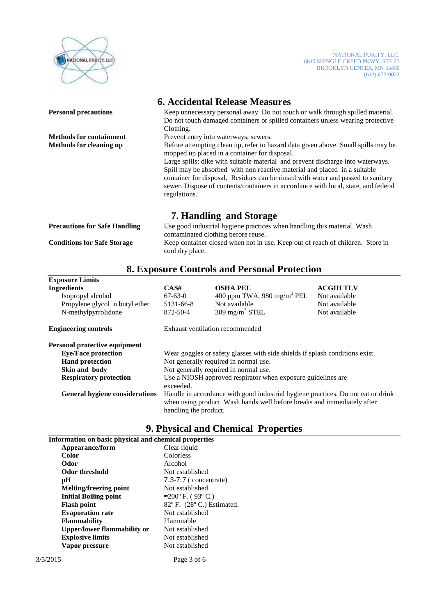

| <b>6. Accidental Release Measures</b> |                                                                                                                                                                                                                                                                                                                                                                                                                                                                                              |  |  |  |
|---------------------------------------|----------------------------------------------------------------------------------------------------------------------------------------------------------------------------------------------------------------------------------------------------------------------------------------------------------------------------------------------------------------------------------------------------------------------------------------------------------------------------------------------|--|--|--|
| <b>Personal precautions</b>           | Keep unnecessary personal away. Do not touch or walk through spilled material.<br>Do not touch damaged containers or spilled containers unless wearing protective<br>Clothing.                                                                                                                                                                                                                                                                                                               |  |  |  |
| <b>Methods for containment</b>        | Prevent entry into waterways, sewers.                                                                                                                                                                                                                                                                                                                                                                                                                                                        |  |  |  |
| <b>Methods for cleaning up</b>        | Before attempting clean up, refer to hazard data given above. Small spills may be<br>mopped up placed in a container for disposal.<br>Large spills: dike with suitable material and prevent discharge into waterways.<br>Spill may be absorbed with non reactive material and placed in a suitable<br>container for disposal. Residues can be rinsed with water and passed to sanitary<br>sewer. Dispose of contents/containers in accordance with local, state, and federal<br>regulations. |  |  |  |
| 7. Handling and Storage               |                                                                                                                                                                                                                                                                                                                                                                                                                                                                                              |  |  |  |
| <b>Precautions for Safe Handling</b>  | Use good industrial hygiene practices when handling this material. Wash<br>contaminated clothing before reuse.                                                                                                                                                                                                                                                                                                                                                                               |  |  |  |
| <b>Conditions for Safe Storage</b>    | Keep container closed when not in use. Keep out of reach of children. Store in                                                                                                                                                                                                                                                                                                                                                                                                               |  |  |  |

# cool dry place.

## **8. Exposure Controls and Personal Protection**

| <b>Exposure Limits</b>                |                                                                                  |                                        |                  |
|---------------------------------------|----------------------------------------------------------------------------------|----------------------------------------|------------------|
| <b>Ingredients</b>                    | CAS#                                                                             | <b>OSHA PEL</b>                        | <b>ACGIH TLV</b> |
| Isopropyl alcohol                     | $67-63-0$                                                                        | 400 ppm TWA, 980 mg/m <sup>3</sup> PEL | Not available    |
| Propylene glycol n butyl ether        | 5131-66-8                                                                        | Not available                          | Not available    |
| N-methylpyrrolidone                   | 872-50-4                                                                         | 309 mg/m <sup>3</sup> STEL             | Not available    |
| <b>Engineering controls</b>           | Exhaust ventilation recommended                                                  |                                        |                  |
| Personal protective equipment         |                                                                                  |                                        |                  |
| <b>Eye/Face protection</b>            | Wear goggles or safety glasses with side shields if splash conditions exist.     |                                        |                  |
| <b>Hand protection</b>                | Not generally required in normal use.                                            |                                        |                  |
| Skin and body                         | Not generally required in normal use.                                            |                                        |                  |
| <b>Respiratory protection</b>         | Use a NIOSH approved respirator when exposure guidelines are                     |                                        |                  |
|                                       | exceeded.                                                                        |                                        |                  |
| <b>General hygiene considerations</b> | Handle in accordance with good industrial hygiene practices. Do not eat or drink |                                        |                  |
|                                       | when using product. Wash hands well before breaks and immediately after          |                                        |                  |
|                                       | handling the product.                                                            |                                        |                  |

## **9. Physical and Chemical Properties**

| Information on basic physical and chemical properties |                            |  |
|-------------------------------------------------------|----------------------------|--|
| Appearance/form                                       | Clear liquid               |  |
| Color                                                 | Colorless                  |  |
| Odor                                                  | Alcohol                    |  |
| <b>Odor threshold</b>                                 | Not established            |  |
| рH                                                    | $7.3 - 7.7$ (concentrate)  |  |
| Melting/freezing point                                | Not established            |  |
| <b>Initial Boiling point</b>                          | ≈200° F. (93° C.)          |  |
| <b>Flash point</b>                                    | 82° F. (28° C.) Estimated. |  |
| <b>Evaporation rate</b>                               | Not established            |  |
| <b>Flammability</b>                                   | Flammable                  |  |
| <b>Upper/lower flammability or</b>                    | Not established            |  |
| <b>Explosive limits</b>                               | Not established            |  |
| Vapor pressure                                        | Not established            |  |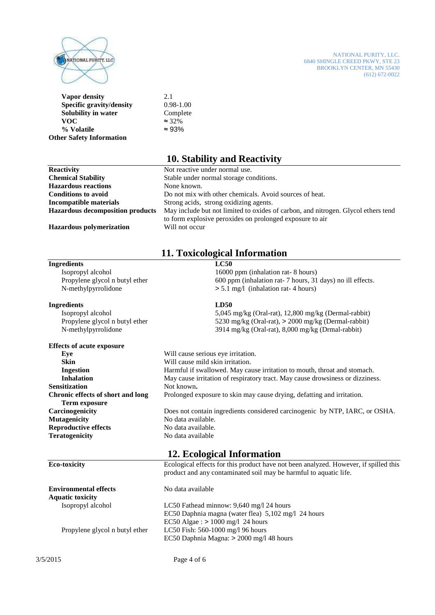

NATIONAL PURITY, LLC. 6840 SHINGLE CREED PKWY, STE 23 BROOKLYN CENTER, MN 55430  $(612) 672-0022$ 

**Vapor density** 2.1 **Specific gravity/density** 0.98-1.00 **Solubility in water** Complete **VOC**  $\approx$  32%  $\%$  Volatile  $\approx 93\%$ **Other Safety Information** 

### **10. Stability and Reactivity**

| <b>Reactivity</b>                       | Not reactive under normal use.                                                                                                                |
|-----------------------------------------|-----------------------------------------------------------------------------------------------------------------------------------------------|
| <b>Chemical Stability</b>               | Stable under normal storage conditions.                                                                                                       |
| <b>Hazardous reactions</b>              | None known.                                                                                                                                   |
| <b>Conditions to avoid</b>              | Do not mix with other chemicals. Avoid sources of heat.                                                                                       |
| Incompatible materials                  | Strong acids, strong oxidizing agents.                                                                                                        |
| <b>Hazardous decomposition products</b> | May include but not limited to oxides of carbon, and nitrogen. Glycol ethers tend<br>to form explosive peroxides on prolonged exposure to air |
| <b>Hazardous polymerization</b>         | Will not occur                                                                                                                                |

# **11. Toxicological Information**

### **Ingredients LC50**  Isopropyl alcohol 16000 ppm (inhalation rat- 8 hours) Propylene glycol n butyl ether 600 ppm (inhalation rat- 7 hours, 31 days) no ill effects. N-methylpyrrolidone  $> 5.1$  mg/l (inhalation rat- 4 hours) **Ingredients LD50**  Isopropyl alcohol 5,045 mg/kg (Oral-rat), 12,800 mg/kg (Dermal-rabbit) Propylene glycol n butyl ether 5230 mg/kg (Oral-rat), > 2000 mg/kg (Dermal-rabbit) N-methylpyrrolidone 3914 mg/kg (Oral-rat), 8,000 mg/kg (Drmal-rabbit) **Effects of acute exposure Eye** Will cause serious eye irritation. **Skin Will cause mild skin irritation. Ingestion** Harmful if swallowed. May cause irritation to mouth, throat and stomach.<br> **Inhalation** May cause irritation of respiratory tract. May cause drowsiness or dizzines **Inhalation** May cause irritation of respiratory tract. May cause drowsiness or dizziness. **Sensitization** Not known. **Chronic effects of short and long** Prolonged exposure to skin may cause drying, defatting and irritation.  **Term exposure Carcinogenicity** Does not contain ingredients considered carcinogenic by NTP, IARC, or OSHA. **Mutagenicity** No data available. **Reproductive effects** No data available. **Teratogenicity** No data available **12. Ecological Information Eco-toxicity** Ecological effects for this product have not been analyzed. However, if spilled this product and any contaminated soil may be harmful to aquatic life. **Environmental effects** No data available

**Aquatic toxicity** Isopropyl alcohol LC50 Fathead minnow: 9,640 mg/l 24 hours EC50 Daphnia magna (water flea) 5,102 mg/l 24 hours EC50 Algae :  $> 1000$  mg/l 24 hours Propylene glycol n butyl ether LC50 Fish: 560-1000 mg/l 96 hours EC50 Daphnia Magna: > 2000 mg/l 48 hours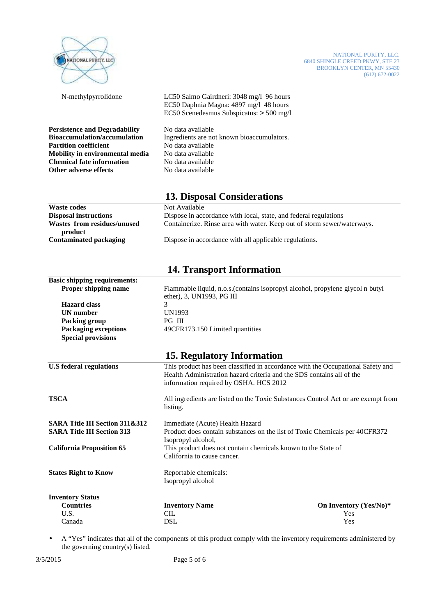

NATIONAL PURITY, LLC. 6840 SHINGLE CREED PKWY, STE 23 BROOKLYN CENTER, MN 55430 (612) 672-0022

 N-methylpyrrolidone LC50 Salmo Gairdneri: 3048 mg/l 96 hours EC50 Daphnia Magna: 4897 mg/l 48 hours EC50 Scenedesmus Subspicatus: > 500 mg/l

**Persistence and Degradability** No data available **Bioaccumulation/accumulation** Ingredients are not known bioaccumulators. **Partition coefficient** No data available **Mobility in environmental media** No data available **Chemical fate information** No data available **Other adverse effects** No data available

### **13. Disposal Considerations**

| <b>Waste codes</b>           | Not Available                                                           |
|------------------------------|-------------------------------------------------------------------------|
| <b>Disposal instructions</b> | Dispose in accordance with local, state, and federal regulations        |
| Wastes from residues/unused  | Containerize. Rinse area with water. Keep out of storm sewer/waterways. |
| product                      |                                                                         |
| Contaminated packaging       | Dispose in accordance with all applicable regulations.                  |
|                              |                                                                         |
|                              |                                                                         |

### **14. Transport Information**

| <b>Basic shipping requirements:</b>       |                                                                                                                                                                                                    |                        |  |
|-------------------------------------------|----------------------------------------------------------------------------------------------------------------------------------------------------------------------------------------------------|------------------------|--|
| Proper shipping name                      | Flammable liquid, n.o.s. (contains isopropyl alcohol, propylene glycol n butyl<br>ether), 3, UN1993, PG III                                                                                        |                        |  |
| <b>Hazard class</b>                       | 3                                                                                                                                                                                                  |                        |  |
| <b>UN</b> number                          | UN1993                                                                                                                                                                                             |                        |  |
| Packing group                             | PG III                                                                                                                                                                                             |                        |  |
| <b>Packaging exceptions</b>               | 49CFR173.150 Limited quantities                                                                                                                                                                    |                        |  |
| <b>Special provisions</b>                 |                                                                                                                                                                                                    |                        |  |
|                                           | 15. Regulatory Information                                                                                                                                                                         |                        |  |
| <b>U.S federal regulations</b>            | This product has been classified in accordance with the Occupational Safety and<br>Health Administration hazard criteria and the SDS contains all of the<br>information required by OSHA. HCS 2012 |                        |  |
| <b>TSCA</b>                               | All ingredients are listed on the Toxic Substances Control Act or are exempt from<br>listing.                                                                                                      |                        |  |
| <b>SARA Title III Section 311&amp;312</b> | Immediate (Acute) Health Hazard                                                                                                                                                                    |                        |  |
| <b>SARA Title III Section 313</b>         | Product does contain substances on the list of Toxic Chemicals per 40CFR372                                                                                                                        |                        |  |
|                                           | Isopropyl alcohol,                                                                                                                                                                                 |                        |  |
| <b>California Proposition 65</b>          | This product does not contain chemicals known to the State of                                                                                                                                      |                        |  |
|                                           | California to cause cancer.                                                                                                                                                                        |                        |  |
| <b>States Right to Know</b>               | Reportable chemicals:                                                                                                                                                                              |                        |  |
|                                           | Isopropyl alcohol                                                                                                                                                                                  |                        |  |
| <b>Inventory Status</b>                   |                                                                                                                                                                                                    |                        |  |
| <b>Countries</b>                          | <b>Inventory Name</b>                                                                                                                                                                              | On Inventory (Yes/No)* |  |
| U.S.                                      | <b>CIL</b>                                                                                                                                                                                         | Yes                    |  |
| Canada                                    | <b>DSL</b>                                                                                                                                                                                         | Yes                    |  |

• A "Yes" indicates that all of the components of this product comply with the inventory requirements administered by the governing country(s) listed.